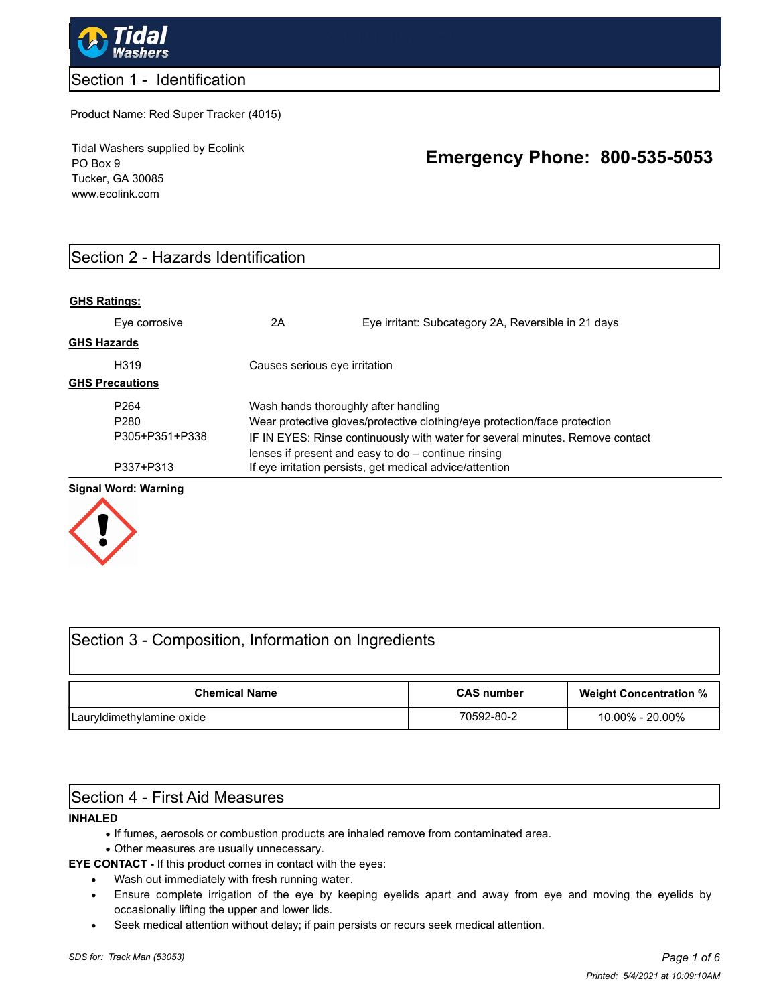

### Section 1 - Identification

#### Product Name: Red Super Tracker (4015)

Tidal Washers supplied by Ecolink PO Box 9 Tucker, GA 30085 www.ecolink.com

# **Emergency Phone: 800-535-5053**

# Section 2 - Hazards Identification

#### **GHS Ratings:**

|                        | Eye corrosive    | 2A                                                                                                                                     | Eye irritant: Subcategory 2A, Reversible in 21 days                       |  |  |
|------------------------|------------------|----------------------------------------------------------------------------------------------------------------------------------------|---------------------------------------------------------------------------|--|--|
| <b>GHS Hazards</b>     |                  |                                                                                                                                        |                                                                           |  |  |
|                        | H319             | Causes serious eye irritation                                                                                                          |                                                                           |  |  |
| <b>GHS Precautions</b> |                  |                                                                                                                                        |                                                                           |  |  |
|                        | P <sub>264</sub> | Wash hands thoroughly after handling                                                                                                   |                                                                           |  |  |
|                        | P <sub>280</sub> |                                                                                                                                        | Wear protective gloves/protective clothing/eye protection/face protection |  |  |
| P305+P351+P338         |                  | IF IN EYES: Rinse continuously with water for several minutes. Remove contact<br>lenses if present and easy to $do$ – continue rinsing |                                                                           |  |  |
|                        | P337+P313        |                                                                                                                                        | If eye irritation persists, get medical advice/attention                  |  |  |

#### **Signal Word: Warning**



# Section 3 - Composition, Information on Ingredients

| <b>Chemical Name</b>      | <b>CAS number</b> | <b>Weight Concentration %</b> |
|---------------------------|-------------------|-------------------------------|
| Lauryldimethylamine oxide | 70592-80-2        | 10.00% - 20.00%               |

### Section 4 - First Aid Measures

#### **INHALED**

- **·** If fumes, aerosols or combustion products are inhaled remove from contaminated area.
	- **·** Other measures are usually unnecessary.

**EYE CONTACT -** If this product comes in contact with the eyes:

- **·** Wash out immediately with fresh running water.
- **·** Ensure complete irrigation of the eye by keeping eyelids apart and away from eye and moving the eyelids by occasionally lifting the upper and lower lids.
- **·** Seek medical attention without delay; if pain persists or recurs seek medical attention.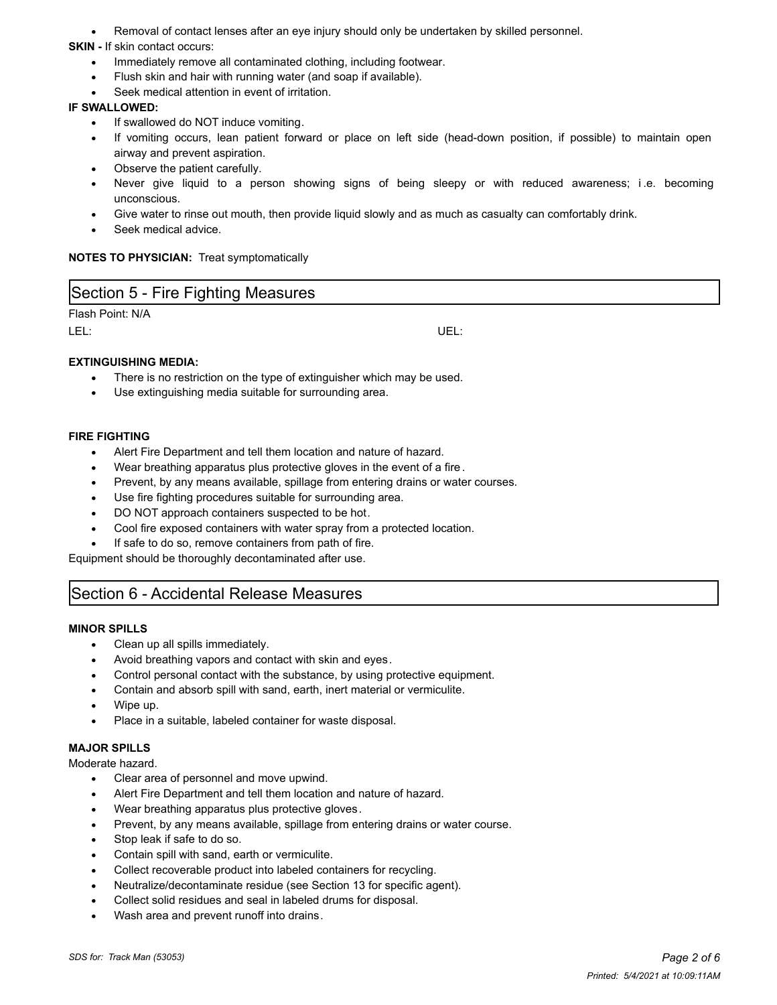**·** Removal of contact lenses after an eye injury should only be undertaken by skilled personnel.

#### **SKIN -** If skin contact occurs:

- **·** Immediately remove all contaminated clothing, including footwear.
- **·** Flush skin and hair with running water (and soap if available).
- **·** Seek medical attention in event of irritation.

#### **IF SWALLOWED:**

- **·** If swallowed do NOT induce vomiting.
- **·** If vomiting occurs, lean patient forward or place on left side (head-down position, if possible) to maintain open airway and prevent aspiration.
- **·** Observe the patient carefully.
- **·** Never give liquid to a person showing signs of being sleepy or with reduced awareness; i .e. becoming unconscious.
- **·** Give water to rinse out mouth, then provide liquid slowly and as much as casualty can comfortably drink.
- **·** Seek medical advice.

#### **NOTES TO PHYSICIAN:** Treat symptomatically

### Section 5 - Fire Fighting Measures

Flash Point: N/A

#### LEL: UEL:

#### **EXTINGUISHING MEDIA:**

- **·** There is no restriction on the type of extinguisher which may be used.
- **·** Use extinguishing media suitable for surrounding area.

#### **FIRE FIGHTING**

- **·** Alert Fire Department and tell them location and nature of hazard.
- **·** Wear breathing apparatus plus protective gloves in the event of a fire .
- **·** Prevent, by any means available, spillage from entering drains or water courses.
- **·** Use fire fighting procedures suitable for surrounding area.
- **·** DO NOT approach containers suspected to be hot.
- **·** Cool fire exposed containers with water spray from a protected location.
- **·** If safe to do so, remove containers from path of fire.

Equipment should be thoroughly decontaminated after use.

### Section 6 - Accidental Release Measures

#### **MINOR SPILLS**

- **·** Clean up all spills immediately.
- **·** Avoid breathing vapors and contact with skin and eyes.
- **·** Control personal contact with the substance, by using protective equipment.
- **·** Contain and absorb spill with sand, earth, inert material or vermiculite.
- **·** Wipe up.
- **·** Place in a suitable, labeled container for waste disposal.

#### **MAJOR SPILLS**

Moderate hazard.

- **·** Clear area of personnel and move upwind.
- **·** Alert Fire Department and tell them location and nature of hazard.
- **·** Wear breathing apparatus plus protective gloves.
- **·** Prevent, by any means available, spillage from entering drains or water course.
- **·** Stop leak if safe to do so.
- **·** Contain spill with sand, earth or vermiculite.
- **·** Collect recoverable product into labeled containers for recycling.
- **·** Neutralize/decontaminate residue (see Section 13 for specific agent).
- **·** Collect solid residues and seal in labeled drums for disposal.
- **·** Wash area and prevent runoff into drains.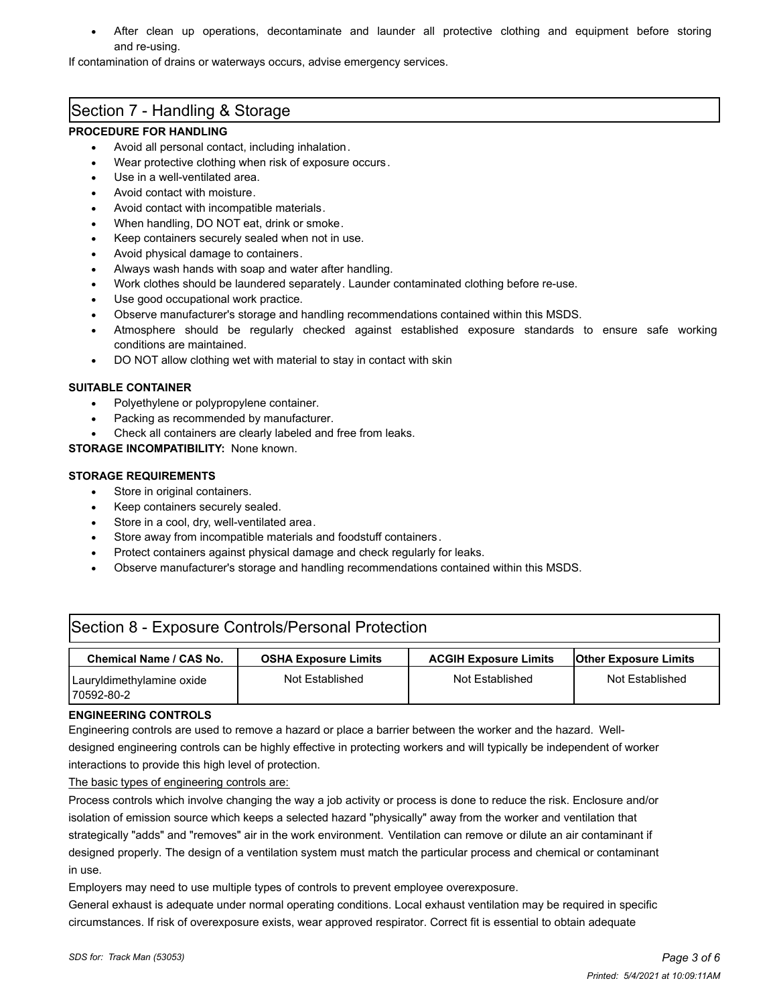**·** After clean up operations, decontaminate and launder all protective clothing and equipment before storing and re-using.

If contamination of drains or waterways occurs, advise emergency services.

### Section 7 - Handling & Storage

#### **PROCEDURE FOR HANDLING**

- **·** Avoid all personal contact, including inhalation.
- **·** Wear protective clothing when risk of exposure occurs.
- **·** Use in a well-ventilated area.
- **·** Avoid contact with moisture.
- **·** Avoid contact with incompatible materials.
- **·** When handling, DO NOT eat, drink or smoke.
- **·** Keep containers securely sealed when not in use.
- **·** Avoid physical damage to containers.
- **·** Always wash hands with soap and water after handling.
- **·** Work clothes should be laundered separately. Launder contaminated clothing before re-use.
- **·** Use good occupational work practice.
- **·** Observe manufacturer's storage and handling recommendations contained within this MSDS.
- **·** Atmosphere should be regularly checked against established exposure standards to ensure safe working conditions are maintained.
- **·** DO NOT allow clothing wet with material to stay in contact with skin

#### **SUITABLE CONTAINER**

- **·** Polyethylene or polypropylene container.
- Packing as recommended by manufacturer.
- **·** Check all containers are clearly labeled and free from leaks.

**STORAGE INCOMPATIBILITY:** None known.

#### **STORAGE REQUIREMENTS**

- **·** Store in original containers.
- **·** Keep containers securely sealed.
- **·** Store in a cool, dry, well-ventilated area.
- **·** Store away from incompatible materials and foodstuff containers.
- **·** Protect containers against physical damage and check regularly for leaks.
- **·** Observe manufacturer's storage and handling recommendations contained within this MSDS.

# Section 8 - Exposure Controls/Personal Protection

| Chemical Name / CAS No.                  | <b>OSHA Exposure Limits</b> | <b>ACGIH Exposure Limits</b> | <b>Other Exposure Limits</b> |
|------------------------------------------|-----------------------------|------------------------------|------------------------------|
| Lauryldimethylamine oxide<br>170592-80-2 | Not Established             | Not Established              | Not Established              |

#### **ENGINEERING CONTROLS**

Engineering controls are used to remove a hazard or place a barrier between the worker and the hazard. Welldesigned engineering controls can be highly effective in protecting workers and will typically be independent of worker interactions to provide this high level of protection.

The basic types of engineering controls are:

Process controls which involve changing the way a job activity or process is done to reduce the risk. Enclosure and/or isolation of emission source which keeps a selected hazard "physically" away from the worker and ventilation that strategically "adds" and "removes" air in the work environment. Ventilation can remove or dilute an air contaminant if designed properly. The design of a ventilation system must match the particular process and chemical or contaminant in use.

Employers may need to use multiple types of controls to prevent employee overexposure.

General exhaust is adequate under normal operating conditions. Local exhaust ventilation may be required in specific circumstances. If risk of overexposure exists, wear approved respirator. Correct fit is essential to obtain adequate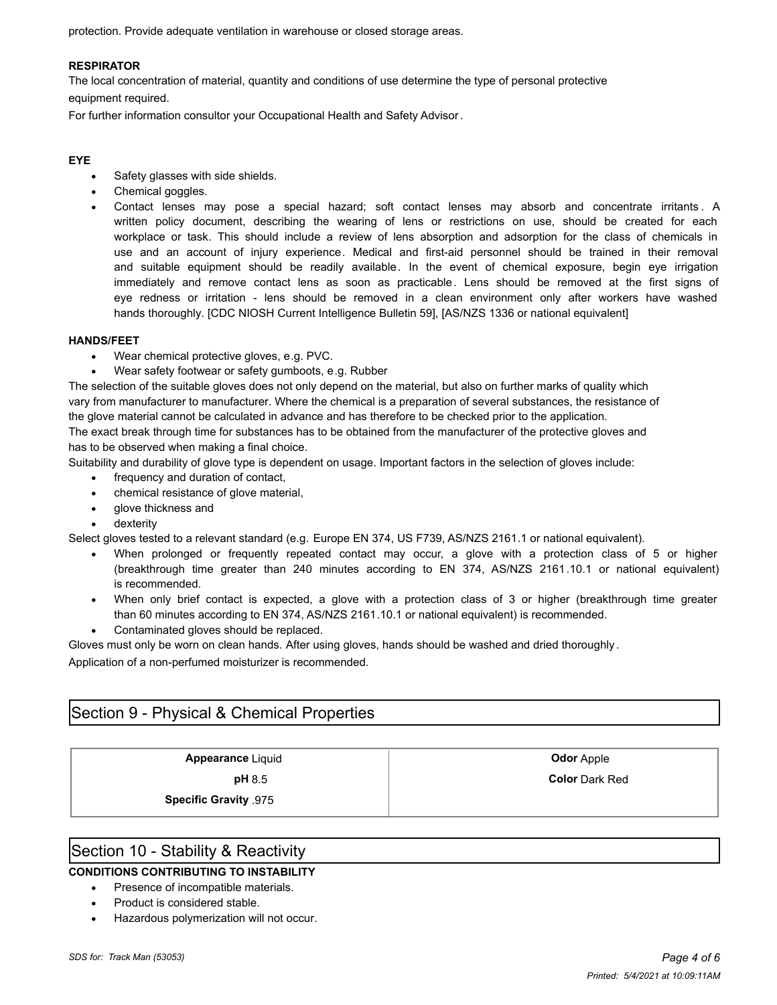protection. Provide adequate ventilation in warehouse or closed storage areas.

#### **RESPIRATOR**

The local concentration of material, quantity and conditions of use determine the type of personal protective

equipment required.

For further information consultor your Occupational Health and Safety Advisor.

#### **EYE**

- **·** Safety glasses with side shields.
- **·** Chemical goggles.
- **·** Contact lenses may pose a special hazard; soft contact lenses may absorb and concentrate irritants . A written policy document, describing the wearing of lens or restrictions on use, should be created for each workplace or task. This should include a review of lens absorption and adsorption for the class of chemicals in use and an account of injury experience. Medical and first-aid personnel should be trained in their removal and suitable equipment should be readily available. In the event of chemical exposure, begin eye irrigation immediately and remove contact lens as soon as practicable. Lens should be removed at the first signs of eye redness or irritation - lens should be removed in a clean environment only after workers have washed hands thoroughly. [CDC NIOSH Current Intelligence Bulletin 59], [AS/NZS 1336 or national equivalent]

#### **HANDS/FEET**

- **·** Wear chemical protective gloves, e.g. PVC.
- **·** Wear safety footwear or safety gumboots, e.g. Rubber

The selection of the suitable gloves does not only depend on the material, but also on further marks of quality which vary from manufacturer to manufacturer. Where the chemical is a preparation of several substances, the resistance of the glove material cannot be calculated in advance and has therefore to be checked prior to the application.

The exact break through time for substances has to be obtained from the manufacturer of the protective gloves and has to be observed when making a final choice.

Suitability and durability of glove type is dependent on usage. Important factors in the selection of gloves include:

- **·** frequency and duration of contact,
- **·** chemical resistance of glove material,
- **·** glove thickness and
- **·** dexterity

Select gloves tested to a relevant standard (e.g. Europe EN 374, US F739, AS/NZS 2161.1 or national equivalent).

- **·** When prolonged or frequently repeated contact may occur, a glove with a protection class of 5 or higher (breakthrough time greater than 240 minutes according to EN 374, AS/NZS 2161.10.1 or national equivalent) is recommended.
- **·** When only brief contact is expected, a glove with a protection class of 3 or higher (breakthrough time greater than 60 minutes according to EN 374, AS/NZS 2161.10.1 or national equivalent) is recommended.
- **·** Contaminated gloves should be replaced.
- Gloves must only be worn on clean hands. After using gloves, hands should be washed and dried thoroughly .

Application of a non-perfumed moisturizer is recommended.

### Section 9 - Physical & Chemical Properties

**Appearance** Liquid **Contract Appearance** Liquid **Contract Apple 2016** 

**pH** 8.5 **Color** Dark Red

**Specific Gravity** .975

### Section 10 - Stability & Reactivity

### **CONDITIONS CONTRIBUTING TO INSTABILITY**

- **·** Presence of incompatible materials.
- **·** Product is considered stable.
- **·** Hazardous polymerization will not occur.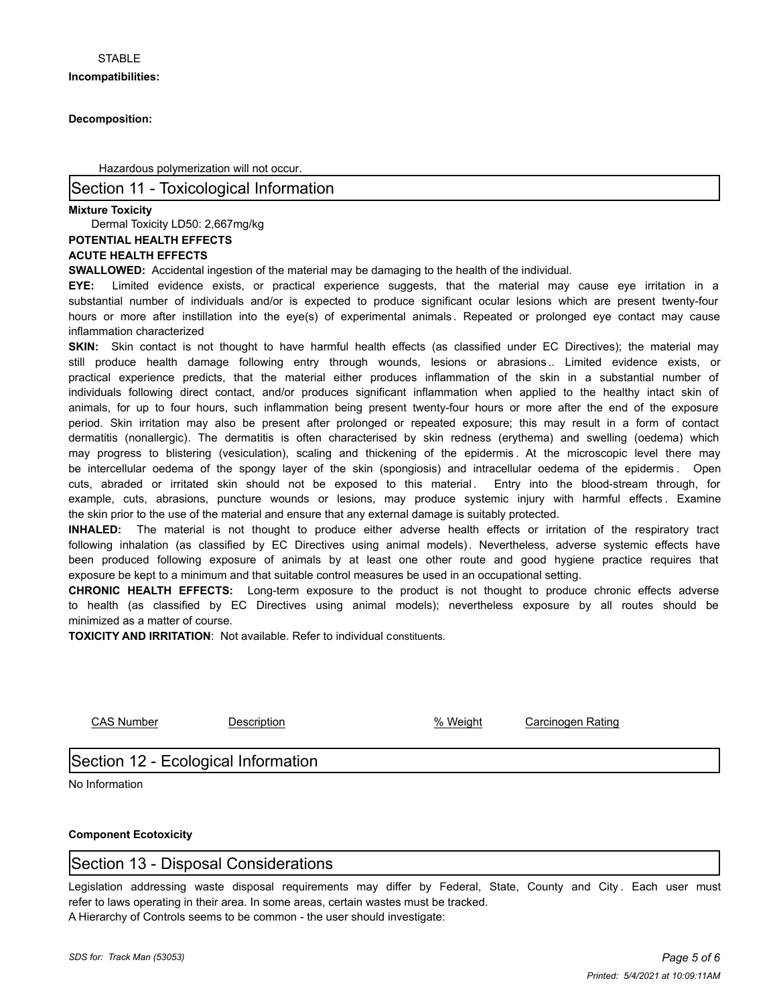#### **Decomposition:**

Hazardous polymerization will not occur.

### Section 11 - Toxicological Information

#### **Mixture Toxicity**

Dermal Toxicity LD50: 2,667mg/kg

#### **POTENTIAL HEALTH EFFECTS**

#### **ACUTE HEALTH EFFECTS**

**SWALLOWED:** Accidental ingestion of the material may be damaging to the health of the individual.

**EYE:** Limited evidence exists, or practical experience suggests, that the material may cause eye irritation in a substantial number of individuals and/or is expected to produce significant ocular lesions which are present twenty-four hours or more after instillation into the eye(s) of experimental animals . Repeated or prolonged eye contact may cause inflammation characterized

**SKIN:** Skin contact is not thought to have harmful health effects (as classified under EC Directives); the material may still produce health damage following entry through wounds, lesions or abrasions .. Limited evidence exists, or practical experience predicts, that the material either produces inflammation of the skin in a substantial number of individuals following direct contact, and/or produces significant inflammation when applied to the healthy intact skin of animals, for up to four hours, such inflammation being present twenty-four hours or more after the end of the exposure period. Skin irritation may also be present after prolonged or repeated exposure; this may result in a form of contact dermatitis (nonallergic). The dermatitis is often characterised by skin redness (erythema) and swelling (oedema) which may progress to blistering (vesiculation), scaling and thickening of the epidermis . At the microscopic level there may be intercellular oedema of the spongy layer of the skin (spongiosis) and intracellular oedema of the epidermis . Open cuts, abraded or irritated skin should not be exposed to this material. Entry into the blood-stream through, for example, cuts, abrasions, puncture wounds or lesions, may produce systemic injury with harmful effects . Examine the skin prior to the use of the material and ensure that any external damage is suitably protected.

**INHALED:** The material is not thought to produce either adverse health effects or irritation of the respiratory tract following inhalation (as classified by EC Directives using animal models). Nevertheless, adverse systemic effects have been produced following exposure of animals by at least one other route and good hygiene practice requires that exposure be kept to a minimum and that suitable control measures be used in an occupational setting.

**CHRONIC HEALTH EFFECTS:** Long-term exposure to the product is not thought to produce chronic effects adverse to health (as classified by EC Directives using animal models); nevertheless exposure by all routes should be minimized as a matter of course.

**TOXICITY AND IRRITATION**: Not available. Refer to individual constituents.

CAS Number Description % Weight Carcinogen Rating

## Section 12 - Ecological Information

No Information

#### **Component Ecotoxicity**

## Section 13 - Disposal Considerations

Legislation addressing waste disposal requirements may differ by Federal, State, County and City. Each user must refer to laws operating in their area. In some areas, certain wastes must be tracked. A Hierarchy of Controls seems to be common - the user should investigate: